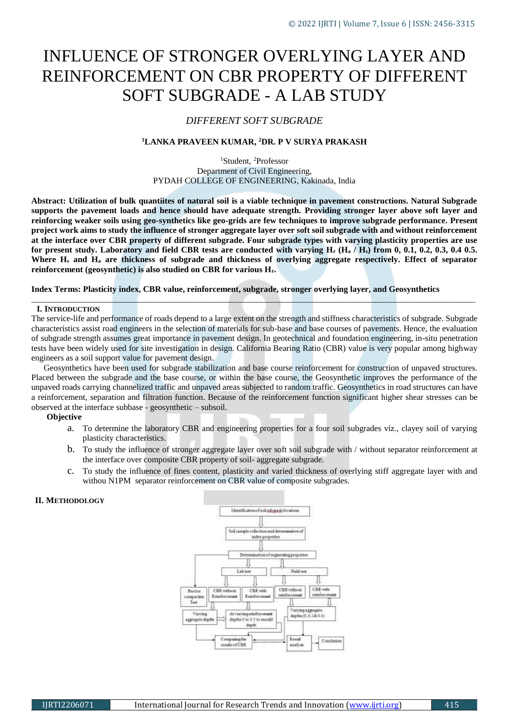# INFLUENCE OF STRONGER OVERLYING LAYER AND REINFORCEMENT ON CBR PROPERTY OF DIFFERENT SOFT SUBGRADE - A LAB STUDY

# *DIFFERENT SOFT SUBGRADE*

# **<sup>1</sup>LANKA PRAVEEN KUMAR, <sup>2</sup>DR. P V SURYA PRAKASH**

<sup>1</sup>Student, <sup>2</sup>Professor Department of Civil Engineering, PYDAH COLLEGE OF ENGINEERING, Kakinada, India

**Abstract: Utilization of bulk quantiites of natural soil is a viable technique in pavement constructions. Natural Subgrade supports the pavement loads and hence should have adequate strength. Providing stronger layer above soft layer and reinforcing weaker soils using geo-synthetics like geo-grids are few techniques to improve subgrade performance. Present project work aims to study the influence of stronger aggregate layer over soft soil subgrade with and without reinforcement at the interface over CBR property of different subgrade. Four subgrade types with varying plasticity properties are use for present study. Laboratory and field CBR tests are conducted with varying H<sup>r</sup> (H<sup>a</sup> / Hs) from 0, 0.1, 0.2, 0.3, 0.4 0.5. Where H<sup>s</sup> and H<sup>a</sup> are thickness of subgrade and thickness of overlying aggregate respectively. Effect of separator reinforcement (geosynthetic) is also studied on CBR for various Hr.**

## **Index Terms: Plasticity index, CBR value, reinforcement, subgrade, stronger overlying layer, and Geosynthetics**

#### **I. INTRODUCTION**

The service-life and performance of roads depend to a large extent on the strength and stiffness characteristics of subgrade. Subgrade characteristics assist road engineers in the selection of materials for sub-base and base courses of pavements. Hence, the evaluation of subgrade strength assumes great importance in pavement design. In geotechnical and foundation engineering, in-situ penetration tests have been widely used for site investigation in design. California Bearing Ratio (CBR) value is very popular among highway engineers as a soil support value for pavement design.

\_\_\_\_\_\_\_\_\_\_\_\_\_\_\_\_\_\_\_\_\_\_\_\_\_\_\_\_\_\_\_\_\_\_\_\_\_\_\_\_\_\_\_\_\_\_\_\_\_\_\_\_\_\_\_\_\_\_\_\_\_\_\_\_\_\_\_\_\_\_\_\_\_\_\_\_\_\_\_\_\_\_\_\_\_\_\_\_\_\_\_\_\_\_\_\_\_\_\_\_\_\_\_\_

Geosynthetics have been used for subgrade stabilization and base course reinforcement for construction of unpaved structures. Placed between the subgrade and the base course, or within the base course, the Geosynthetic improves the performance of the unpaved roads carrying channelized traffic and unpaved areas subjected to random traffic. Geosynthetics in road structures can have a reinforcement, separation and filtration function. Because of the reinforcement function significant higher shear stresses can be observed at the interface subbase - geosynthetic – subsoil.

#### **Objective**

- a. To determine the laboratory CBR and engineering properties for a four soil subgrades viz., clayey soil of varying plasticity characteristics.
- b. To study the influence of stronger aggregate layer over soft soil subgrade with / without separator reinforcement at the interface over composite CBR property of soil- aggregate subgrade.
- c. To study the influence of fines content, plasticity and varied thickness of overlying stiff aggregate layer with and withou N1PM separator reinforcement on CBR value of composite subgrades.

# **II. METHODOLOGY**

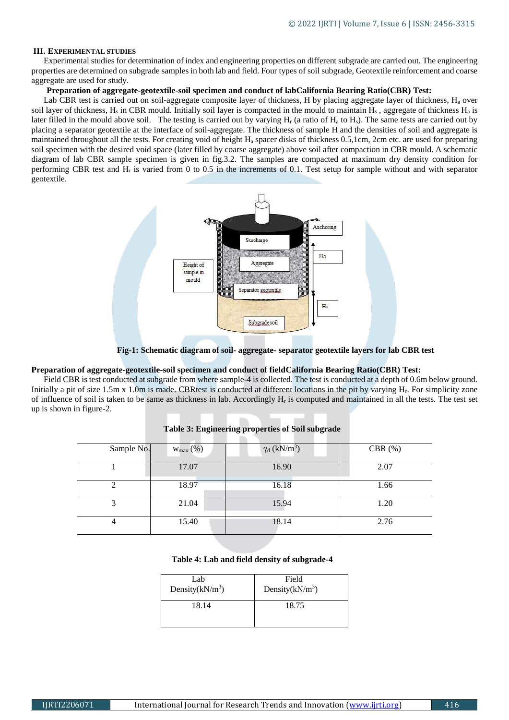# **III. EXPERIMENTAL STUDIES**

Experimental studies for determination of index and engineering properties on different subgrade are carried out. The engineering properties are determined on subgrade samples in both lab and field. Four types of soil subgrade, Geotextile reinforcement and coarse aggregate are used for study.

#### **Preparation of aggregate-geotextile-soil specimen and conduct of labCalifornia Bearing Ratio(CBR) Test:**

Lab CBR test is carried out on soil-aggregate composite layer of thickness, H by placing aggregate layer of thickness,  $H_a$  over soil layer of thickness, H<sub>s</sub> in CBR mould. Initially soil layer is compacted in the mould to maintain  $H_s$ , aggregate of thickness  $H_a$  is later filled in the mould above soil. The testing is carried out by varying  $H_r$  (a ratio of  $H_a$  to  $H_s$ ). The same tests are carried out by placing a separator geotextile at the interface of soil-aggregate. The thickness of sample H and the densities of soil and aggregate is maintained throughout all the tests. For creating void of height H<sup>a</sup> spacer disks of thickness 0.5,1cm, 2cm etc. are used for preparing soil specimen with the desired void space (later filled by coarse aggregate) above soil after compaction in CBR mould. A schematic diagram of lab CBR sample specimen is given in fig.3.2. The samples are compacted at maximum dry density condition for performing CBR test and  $H_r$  is varied from 0 to 0.5 in the increments of 0.1. Test setup for sample without and with separator geotextile.



**Fig-1: Schematic diagram of soil- aggregate- separator geotextile layers for lab CBR test**

# **Preparation of aggregate-geotextile-soil specimen and conduct of fieldCalifornia Bearing Ratio(CBR) Test:**

Field CBR is test conducted at subgrade from where sample-4 is collected. The test is conducted at a depth of 0.6m below ground. Initially a pit of size 1.5m x 1.0m is made. CBRtest is conducted at different locations in the pit by varying Hr. For simplicity zone of influence of soil is taken to be same as thickness in lab. Accordingly H<sup>r</sup> is computed and maintained in all the tests. The test set up is shown in figure-2.

| Sample No. | $W_{\text{max}}(\%)$ | $\gamma_d$ (kN/m <sup>3</sup> ) | CBR $(\%)$ |
|------------|----------------------|---------------------------------|------------|
|            | 17.07                | 16.90                           | 2.07       |
|            | 18.97                | 16.18                           | 1.66       |
| 3          | 21.04                | 15.94                           | 1.20       |
| 4          | 15.40                | 18.14                           | 2.76       |

#### **Table 3: Engineering properties of Soil subgrade**

### **Table 4: Lab and field density of subgrade-4**

| Lab                | Field              |
|--------------------|--------------------|
| Density $(kN/m^3)$ | Density $(kN/m^3)$ |
| 18.14              | 18.75              |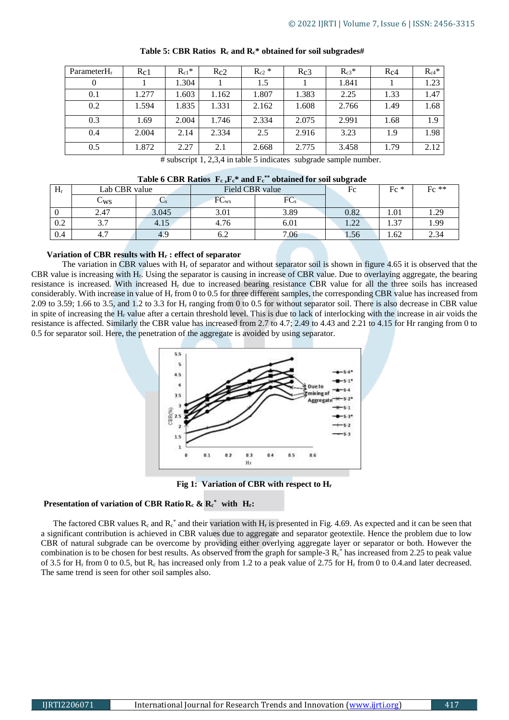| Parameter $H_r$ | Rc1   | $R_{c1}$ * | Rc2   | $R_{c2}$ * | Rc3   | $R_{c3}$ * | $R_{C4}$ | $R_{c4}$ * |
|-----------------|-------|------------|-------|------------|-------|------------|----------|------------|
| 0               |       | 1.304      |       | 1.5        |       | 1.841      |          | 1.23       |
| 0.1             | 1.277 | 1.603      | 1.162 | 1.807      | 1.383 | 2.25       | 1.33     | 1.47       |
| 0.2             | 1.594 | 1.835      | 1.331 | 2.162      | 1.608 | 2.766      | 1.49     | 1.68       |
| 0.3             | 1.69  | 2.004      | 1.746 | 2.334      | 2.075 | 2.991      | 1.68     | 1.9        |
| 0.4             | 2.004 | 2.14       | 2.334 | 2.5        | 2.916 | 3.23       | 1.9      | 1.98       |
| 0.5             | 1.872 | 2.27       | 2.1   | 2.668      | 2.775 | 3.458      | 1.79     | 2.12       |

**Table 5: CBR Ratios R<sup>c</sup> and Rc\* obtained for soil subgrades#**

# subscript 1, 2,3,4 in table 5 indicates subgrade sample number.

|  | Table 6 CBR Ratios $\,$ F <sub>c</sub> , F <sub>c</sub> * and F <sub>c</sub> ** obtained for soil subgrade |  |
|--|------------------------------------------------------------------------------------------------------------|--|
|  |                                                                                                            |  |

| $H_r$ | Lab CBR value         |       | Field CBR value |                 | Fc         | $Fc *$ | $Fc$ ** |
|-------|-----------------------|-------|-----------------|-----------------|------------|--------|---------|
|       | $\cup_{\rm WS}$       |       | $FC_{ws}$       | FC <sub>s</sub> |            |        |         |
|       | 2.47                  | 3.045 | 3.01            | 3.89            | $\rm 0.82$ | 1.01   | 1.29    |
| 0.2   | $\sim$ $\sim$<br>ر. د | 4.15  | 4.76            | 6.01            | 1.22       | 1.37   | 1.99    |
| 0.4   | -<br>4.7              | 4.5   | 0.Z             | 7.06            | 1.56       | 4.62   | 2.34    |

#### **Variation of CBR results with H<sup>r</sup> : effect of separator**

The variation in CBR values with  $H_r$  of separator and without separator soil is shown in figure 4.65 it is observed that the CBR value is increasing with Hr. Using the separator is causing in increase of CBR value. Due to overlaying aggregate, the bearing resistance is increased. With increased H<sup>r</sup> due to increased bearing resistance CBR value for all the three soils has increased considerably. With increase in value of H<sup>r</sup> from 0 to 0.5 for three different samples, the corresponding CBR value has increased from 2.09 to 3.59; 1.66 to 3.5, and 1.2 to 3.3 for H<sup>r</sup> ranging from 0 to 0.5 for without separator soil. There is also decrease in CBR value in spite of increasing the H<sup>r</sup> value after a certain threshold level. This is due to lack of interlocking with the increase in air voids the resistance is affected. Similarly the CBR value has increased from 2.7 to 4.7; 2.49 to 4.43 and 2.21 to 4.15 for Hr ranging from 0 to 0.5 for separator soil. Here, the penetration of the aggregate is avoided by using separator.



**Fig 1: Variation of CBR with respect to H<sup>r</sup>**

# **Presentation of variation of CBR RatioR<sup>c</sup> & R<sup>c</sup> \* with Hr:**

The factored CBR values  $R_c$  and  $R_c^*$  and their variation with  $H_r$  is presented in Fig. 4.69. As expected and it can be seen that a significant contribution is achieved in CBR values due to aggregate and separator geotextile. Hence the problem due to low CBR of natural subgrade can be overcome by providing either overlying aggregate layer or separator or both. However the combination is to be chosen for best results. As observed from the graph for sample-3  $R_c^*$  has increased from 2.25 to peak value of 3.5 for  $H_r$  from 0 to 0.5, but  $R_c$  has increased only from 1.2 to a peak value of 2.75 for  $H_r$  from 0 to 0.4.and later decreased. The same trend is seen for other soil samples also.